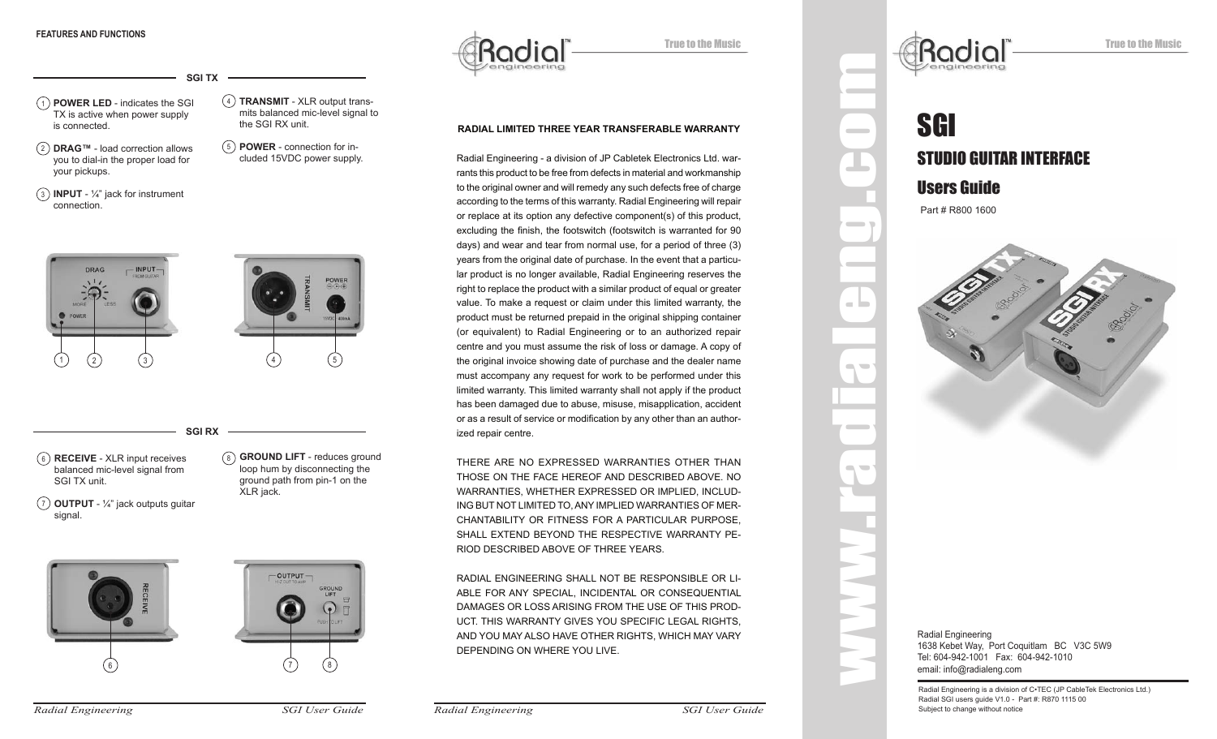1) **POWER LED** - indicates the SGI  $(4)$ TX is active when power supply is connected. **TRANSMIT** - XLR output trans-**SGI TX**

2 **DRAG™** - load correction allows you to dial-in the proper load for your pickups.

mits balanced mic-level signal to the SGI RX unit.

- 5 **POWER** connection for included 15VDC power supply.
- 3 **INPUT**  1⁄4" jack for instrument connection.



6 **RECEIVE** - XLR input receives balanced mic-level signal from SGI TX unit.

signal.

7 **OUTPUT** - 1⁄4" jack outputs guitar ground path from pin-1 on the XLR jack.

6



8 **GROUND LIFT** - reduces ground

loop hum by disconnecting the



True to the Music

# **RADIAL LIMITED THREE YEAR TRANSFERABLE WARRANTY**

Radial Engineering - a division of JP Cabletek Electronics Ltd. warrants this product to be free from defects in material and workmanship to the original owner and will remedy any such defects free of charge according to the terms of this warranty. Radial Engineering will repair or replace at its option any defective component(s) of this product, excluding the finish, the footswitch (footswitch is warranted for 90 days) and wear and tear from normal use, for a period of three (3) years from the original date of purchase. In the event that a particular product is no longer available, Radial Engineering reserves the right to replace the product with a similar product of equal or greater value. To make a request or claim under this limited warranty, the product must be returned prepaid in the original shipping container (or equivalent) to Radial Engineering or to an authorized repair centre and you must assume the risk of loss or damage. A copy of the original invoice showing date of purchase and the dealer name must accompany any request for work to be performed under this limited warranty. This limited warranty shall not apply if the product has been damaged due to abuse, misuse, misapplication, accident or as a result of service or modification by any other than an authorized repair centre.

THERE ARE NO EXPRESSED WARRANTIES OTHER THAN THOSE ON THE FACE HEREOF AND DESCRIBED ABOVE. NO WARRANTIES, WHETHER EXPRESSED OR IMPLIED, INCLUD-ING BUT NOT LIMITED TO, ANY IMPLIED WARRANTIES OF MER-CHANTABILITY OR FITNESS FOR A PARTICULAR PURPOSE, SHALL EXTEND BEYOND THE RESPECTIVE WARRANTY PE-RIOD DESCRIBED ABOVE OF THREE YEARS.

RADIAL ENGINEERING SHALL NOT BE RESPONSIBLE OR LI-ABLE FOR ANY SPECIAL, INCIDENTAL OR CONSEQUENTIAL DAMAGES OR LOSS ARISING FROM THE USE OF THIS PROD-UCT. THIS WARRANTY GIVES YOU SPECIFIC LEGAL RIGHTS, AND YOU MAY ALSO HAVE OTHER RIGHTS, WHICH MAY VARY DEPENDING ON WHERE YOU LIVE.

# SGI STUDIO GUITAR INTERFACE Users Guide

Part # R800 1600

Rodio

**Contract** 

 $\sim$ 

 $\blacksquare$ 

**Contract Contract** 



Radial Engineering is a division of C•TEC (JP CableTek Electronics Ltd.) Radial SGI users guide V1.0 - Part #: R870 1115 00 Subject to change without notice

*Radial Engineering SGI User Guide*